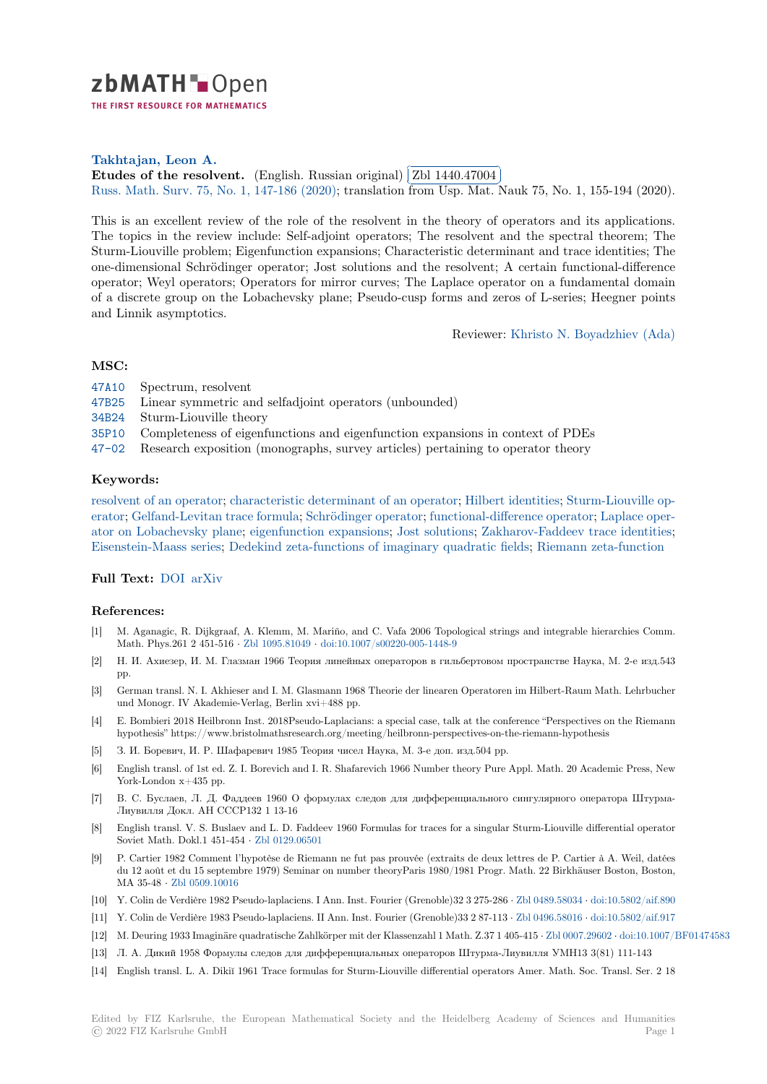

THE FIRST RESOURCE FOR MATHEMATICS

# **Takhtajan, Leon A.**

**[E](https://zbmath.org/)tudes of the resolvent.** (English. Russian original) **Zbl 1440.47004 EUROLES OF THE FESON CHILE (EIGENSIL PARAGEMENT)** (261 1440.47604)<br>Russ. Math. Surv. 75, No. 1, 147-186 (2020); translation from Usp. Mat. Nauk 75, No. 1, 155-194 (2020). l.

[This is an excellent re](https://zbmath.org/authors/?q=ai:takhtajan.leon-a)view of the role of the resolvent in the theory of operators and its applications. [The topics in the review in](https://zbmath.org/1440.47004)clude: Self-adjoint operator[s; The resolvent a](https://zbmath.org/1440.47004)nd the spectral theorem; The [Sturm-Liouville pr](https://zbmath.org/journals/?q=se:201)[oblem; Eigenfunction exp](https://zbmath.org/?q=in:449671)ansions; Characteristic determinant and trace identities; The one-dimensional Schrödinger operator; Jost solutions and the resolvent; A certain functional-difference operator; Weyl operators; Operators for mirror curves; The Laplace operator on a fundamental domain of a discrete group on the Lobachevsky plane; Pseudo-cusp forms and zeros of L-series; Heegner points and Linnik asymptotics.

Reviewer: Khristo N. Boyadzhiev (Ada)

## **MSC:**

- 47A10 Spectrum, resolvent
- 47B25 Linear symmetric and selfadjoint operators (unbounded)
- 34B24 Sturm-Liouville theory
- 35P10 Completeness of eigenfunctions and eigenfunction expansions in context of PDEs
- [47-02](https://zbmath.org/classification/?q=cc:47A10) Research exposition (monographs, survey articles) pertaining to operator theory

## **[Keyw](https://zbmath.org/classification/?q=cc:34B24)ords:**

[resolve](https://zbmath.org/classification/?q=cc:35P10)nt of an operator; characteristic determinant of an operator; Hilbert identities; Sturm-Liouville op[erator;](https://zbmath.org/classification/?q=cc:47-02) Gelfand-Levitan trace formula; Schrödinger operator; functional-difference operator; Laplace operator on Lobachevsky plane; eigenfunction expansions; Jost solutions; Zakharov-Faddeev trace identities; Eisenstein-Maass series; Dedekind zeta-functions of imaginary quadratic fields; Riemann zeta-function

### **[Full T](https://zbmath.org/?q=ut:Sturm-Liouville+operator)[ext:](https://zbmath.org/?q=ut:resolvent+of+an+operator)** DOI [arXiv](https://zbmath.org/?q=ut:Gelfand-Levitan+trace+formula)

#### **[References:](https://zbmath.org/?q=ut:Eisenstein-Maass+series)**

- [1] M. Aganagic, R. Dijkgraaf, A. Klemm, M. Mariño, and C. Vafa 2006 Topological strings and integrable hierarchies Comm. Math. Ph[ys.261](https://dx.doi.org/10.1070/RM9917) [2 451-5](https://arxiv.org/abs/2004.11950)16 *·* Zbl 1095.81049 *·* doi:10.1007/s00220-005-1448-9
- [2] Н. И. Ахиезер, И. М. Глазман 1966 Теория линейных операторов в гильбертовом пространстве Наука, М. 2-е изд.543 pp.
- [3] German transl. N. I. Akhieser and I. M. Glasmann 1968 Theorie der linearen Operatoren im Hilbert-Raum Math. Lehrbucher und Monogr. IV Akademie-[Verlag, Berlin x](https://zbmath.org/1095.81049)vi[+488 pp.](https://dx.doi.org/10.1007/s00220-005-1448-9)
- [4] E. Bombieri 2018 Heilbronn Inst. 2018Pseudo-Laplacians: a special case, talk at the conference "Perspectives on the Riemann hypothesis" https://www.bristolmathsresearch.org/meeting/heilbronn-perspectives-on-the-riemann-hypothesis
- [5] З. И. Боревич, И. Р. Шафаревич 1985 Теория чисел Наука, М. 3-е доп. изд.504 pp.
- [6] English transl. of 1st ed. Z. I. Borevich and I. R. Shafarevich 1966 Number theory Pure Appl. Math. 20 Academic Press, New York-London  $x+435$  pp.
- [7] В. С. Буслаев, Л. Д. Фаддеев 1960 О формулах следов для дифференциального сингулярного оператора Штурма-Лиувилля Докл. АН СССР132 1 13-16
- [8] English transl. V. S. Buslaev and L. D. Faddeev 1960 Formulas for traces for a singular Sturm-Liouville differential operator Soviet Math. Dokl.1 451-454 *·* Zbl 0129.06501
- [9] P. Cartier 1982 Comment l'hypotèse de Riemann ne fut pas prouvée (extraits de deux lettres de P. Cartier à A. Weil, datées du 12 août et du 15 septembre 1979) Seminar on number theoryParis 1980/1981 Progr. Math. 22 Birkhäuser Boston, Boston, MA 35-48 *·* Zbl 0509.10016
- [10] Y. Colin de Verdière 1982 Pseu[do-laplaciens. I](https://zbmath.org/0129.06501) Ann. Inst. Fourier (Grenoble)32 3 275-286 *·* Zbl 0489.58034 *·* doi:10.5802/aif.890
- [11] Y. Colin de Verdière 1983 Pseudo-laplaciens. II Ann. Inst. Fourier (Grenoble)33 2 87-113 *·* Zbl 0496.58016 *·* doi:10.5802/aif.917
- [12] M. Deuring 1933 Imaginäre quadratische Zahlkörper mit der Klassenzahl 1 Math. Z.37 1 405-415 *·* Zbl 0007.29602 *·* doi:10.1007/BF01474583
- [13] Л. А. Дики[й 1958 Формул](https://zbmath.org/0509.10016)ы следов для дифференциальных операторов Штурма-Лиувилля УМН13 3(81) 111-143
- [14] English transl. L. A. Dikiĭ 1961 Trace formulas for Sturm-Liouville differential operators [Amer. Math. S](https://zbmath.org/0489.58034)o[c. Transl. Ser. 2 18](https://dx.doi.org/10.5802/aif.890)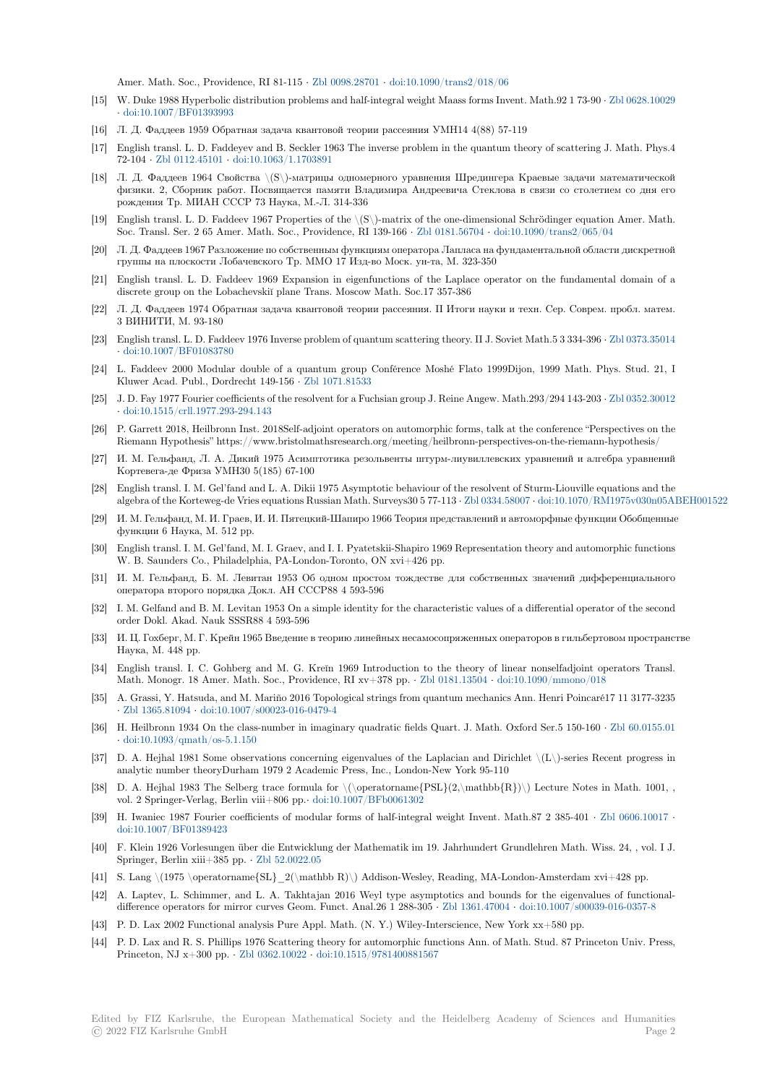Amer. Math. Soc., Providence, RI 81-115 *·* Zbl 0098.28701 *·* doi:10.1090/trans2/018/06

- [15] W. Duke 1988 Hyperbolic distribution problems and half-integral weight Maass forms Invent. Math.92 1 73-90 *·* Zbl 0628.10029 *·* doi:10.1007/BF01393993
- [16] Л. Д. Фаддеев 1959 Обратная задача квантовой теории рассеяния УМН14 4(88) 57-119
- [17] English transl. L. D. Faddeyev and B. Seckl[er 1963 The inv](https://zbmath.org/0098.28701)e[rse problem in the quantum](https://dx.doi.org/10.1090/trans2/018/06) theory of scattering J. Math. Phys.4 72-104 *·* Zbl 0112.45101 *·* doi:10.1063/1.1703891
- [18] [Л. Д. Фаддеев 1964 Сво](https://dx.doi.org/10.1007/BF01393993)йства \(S\)-матрицы одномерного уравнения Шредингера Краевые задачи математической физики. 2, Сборник работ. Посвящается памяти Владимира Андреевича Стеклова в связи со столетием со дня его рождения Тр. МИАН СССР 73 Наука, М.-Л. 314-336
- [19] English [transl. L. D. Fa](https://zbmath.org/0112.45101)d[deev 1967 Properties of](https://dx.doi.org/10.1063/1.1703891) the \(S\)-matrix of the one-dimensional Schrödinger equation Amer. Math. Soc. Transl. Ser. 2 65 Amer. Math. Soc., Providence, RI 139-166 *·* Zbl 0181.56704 *·* doi:10.1090/trans2/065/04
- [20] Л. Д. Фаддеев 1967 Разложение по собственным функциям оператора Лапласа на фундаментальной области дискретной группы на плоскости Лобачевского Тр. ММО 17 Изд-во Моск. ун-та, М. 323-350
- [21] English transl. L. D. Faddeev 1969 Expansion in eigenfunctions of the Laplace operator on the fundamental domain of a discrete group on the Lobachevskiĭ plane Trans. Moscow Math. So[c.17 357-386](https://zbmath.org/0181.56704)
- [22] Л. Д. Фаддеев 1974 Обратная задача квантовой теории рассеяния. II Итоги науки и техн. Сер. Соврем. пробл. матем. 3 ВИНИТИ, М. 93-180
- [23] English transl. L. D. Faddeev 1976 Inverse problem of quantum scattering theory. II J. Soviet Math.5 3 334-396 *·* Zbl 0373.35014 *·* doi:10.1007/BF01083780
- [24] L. Faddeev 2000 Modular double of a quantum group Conférence Moshé Flato 1999Dijon, 1999 Math. Phys. Stud. 21, I Kluwer Acad. Publ., Dordrecht 149-156 *·* Zbl 1071.81533
- [25] J. D. Fay 1977 Fourier coefficients of the resolvent for a Fuchsian group J. Reine Angew. Math.293/294 143-203 *·* [Zbl 0352.30012](https://zbmath.org/0373.35014) *·* [doi:10.1515/crll.1977.293](https://dx.doi.org/10.1007/BF01083780)-294.143
- [26] P. Garrett 2018, Heilbronn Inst. 2018Self-adjoint operators on automorphic forms, talk at the conference "Perspectives on the Riemann Hypothesis" https://www.bristo[lmathsresearch.](https://zbmath.org/1071.81533)org/meeting/heilbronn-perspectives-on-the-riemann-hypothesis/
- [27] И. М. Гельфанд, Л. А. Дикий 1975 Асимптотика резольвенты штурм-лиувиллевских уравнений и алге[бра уравнений](https://zbmath.org/0352.30012) [Кортевега-де Фриза УМН30 5\(18](https://dx.doi.org/10.1515/crll.1977.293-294.143)5) 67-100
- [28] English transl. I. M. Gel'fand and L. A. Dikii 1975 Asymptotic behaviour of the resolvent of Sturm-Liouville equations and the algebra of the Korteweg-de Vries equations Russian Math. Surveys30 5 77-113 *·* Zbl 0334.58007 *·* doi:10.1070/RM1975v030n05ABEH001522
- [29] И. М. Гельфанд, М. И. Граев, И. И. Пятецкий-Шапиро 1966 Теория представлений и автоморфные функции Обобщенные функции 6 Наука, М. 512 pp.
- [30] English transl. I. M. Gel'fand, M. I. Graev, and I. I. Pyatetskii-Shapiro 1969 Representation theory and automorphic functions W. B. Saunders Co., Philadelphia, PA-London-Toronto, ON xvi+426 pp.
- [31] И. М. Гельфанд, Б. М. Левитан 1953 Об одном простом тождестве для собственных значений дифференциального оператора второго порядка Докл. АН СССР88 4 593-596
- [32] I. M. Gelfand and B. M. Levitan 1953 On a simple identity for the characteristic values of a differential operator of the second order Dokl. Akad. Nauk SSSR88 4 593-596
- [33] И. Ц. Гохберг, М. Г. Крейн 1965 Введение в теорию линейных несамосопряженных операторов в гильбертовом пространстве Наука, М. 448 pp.
- [34] English transl. I. C. Gohberg and M. G. Kreĭn 1969 Introduction to the theory of linear nonselfadjoint operators Transl. Math. Monogr. 18 Amer. Math. Soc., Providence, RI xv+378 pp. *·* Zbl 0181.13504 *·* doi:10.1090/mmono/018
- [35] A. Grassi, Y. Hatsuda, and M. Mariño 2016 Topological strings from quantum mechanics Ann. Henri Poincaré17 11 3177-3235 *·* Zbl 1365.81094 *·* doi:10.1007/s00023-016-0479-4
- [36] H. Heilbronn 1934 On the class-number in imaginary quadratic fields Quart. J. Math. Oxford Ser.5 150-160 *·* Zbl 60.0155.01 *·* doi:10.1093/qmath/os-5.1.150
- [37] D. A. Hejhal 1981 Some observations concerning eigenvalues of the Laplacian and Dirichlet \(L\)-series Recent progress in a[nalytic number](https://zbmath.org/1365.81094)t[heoryDurham 1979 2 Academic](https://dx.doi.org/10.1007/s00023-016-0479-4) Press, Inc., London-New York 95-110
- [38] D. A. Hejhal 1983 The Selberg trace formula for  $\(\operatorname{PSL}(2,\mathfrak{R})\)$  Lecture Notes in [Math. 1001, ,](https://zbmath.org/60.0155.01) v[ol. 2 Springer-Verlag, Berlin v](https://dx.doi.org/10.1093/qmath/os-5.1.150)iii+806 pp.*·* doi:10.1007/BFb0061302
- [39] H. Iwaniec 1987 Fourier coefficients of modular forms of half-integral weight Invent. Math.87 2 385-401 *·* Zbl 0606.10017 *·* doi:10.1007/BF01389423
- [40] F. Klein 1926 Vorlesungen über die Entwicklung der Mathematik im 19. Jahrhundert Grundlehren Math. Wiss. 24, , vol. I J. Springer, Berlin xiii+385 pp. *·* Zbl 52.0022.[05](https://dx.doi.org/10.1007/BFb0061302)
- [41] S. Lang \(1975 \operatorname{SL}\_2(\mathbb R)\) Addison-Wesley, Reading, MA-London-Amsterdamx[vi+428 pp.](https://zbmath.org/0606.10017)
- [42] [A. Laptev, L. Schimmer](https://dx.doi.org/10.1007/BF01389423), and L. A. Takhtajan 2016 Weyl type asymptotics and bounds for the eigenvalues of functionaldifference operators for mirror curves Geom. Funct. Anal.26 1 288-305 *·* Zbl 1361.47004 *·* doi:10.1007/s00039-016-0357-8
- [43] P. D. Lax 2002 Functional ana[lysis Pure Appl](https://zbmath.org/52.0022.05). Math. (N. Y.) Wiley-Interscience, New York xx+580 pp.
- [44] P. D. Lax and R. S. Phillips 1976 Scattering theory for automorphic functions Ann. of Math. Stud. 87 Princeton Univ. Press, Princeton, NJ x+300 pp. *·* Zbl 0362.10022 *·* doi:10.1515/9781400881567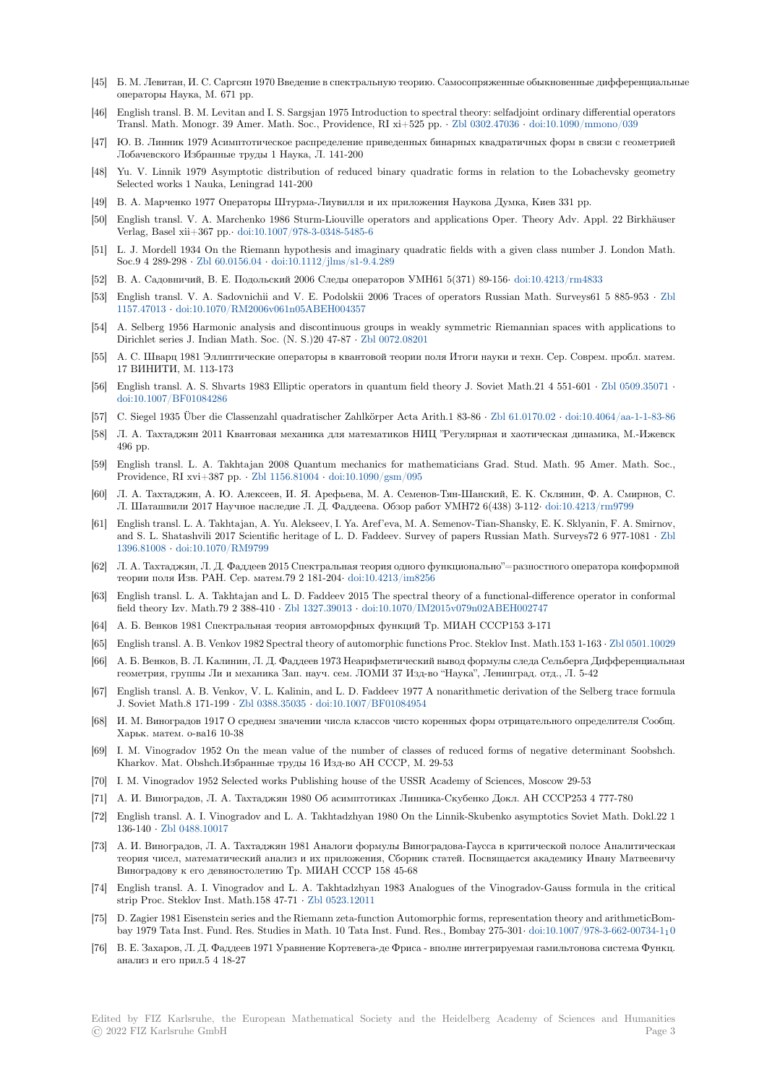- [45] Б. М. Левитан, И. С. Саргсян 1970 Введение в спектральную теорию. Самосопряженные обыкновенные дифференциальные операторы Наука, М. 671 pp.
- [46] English transl. B. M. Levitan and I. S. Sargsjan 1975 Introduction to spectral theory: selfadjoint ordinary differential operators Transl. Math. Monogr. 39 Amer. Math. Soc., Providence, RI xi+525 pp. *·* Zbl 0302.47036 *·* doi:10.1090/mmono/039
- [47] Ю. В. Линник 1979 Асимптотическое распределение приведенных бинарных квадратичных форм в связи с геометрией Лобачевского Избранные труды 1 Наука, Л. 141-200
- [48] Yu. V. Linnik 1979 Asymptotic distribution of reduced binary quadratic forms in relation to the Lobachevsky geometry Selected works 1 Nauka, Leningrad 141-200
- [49] В. А. Марченко 1977 Операторы Штурма-Лиувилля и их приложения Наукова Думка, Киев 331 pp.
- [50] English transl. V. A. Marchenko 1986 Sturm-Liouville operators and applications Oper. Theory Adv. Appl. 22 Birkhäuser Verlag, Basel xii+367 pp.*·* doi:10.1007/978-3-0348-5485-6
- [51] L. J. Mordell 1934 On the Riemann hypothesis and imaginary quadratic fields with a given class number J. London Math. Soc.9 4 289-298 *·* Zbl 60.0156.04 *·* doi:10.1112/jlms/s1-9.4.289
- [52] В. А. Садовничий, В. Е. Подольский 2006 Следы операторов УМН61 5(371) 89-156*·* doi:10.4213/rm4833
- [53] English transl. V. A. Sad[ovnichii and V. E. Podolskii 20](https://dx.doi.org/10.1007/978-3-0348-5485-6)06 Traces of operators Russian Math. Surveys61 5 885-953 *·* Zbl 1157.47013 *·* doi:10.1070/RM2006v061n05ABEH004357
- [54] A. Selberg 1956 [Harmonic analy](https://zbmath.org/60.0156.04)si[s and discontinuous groups](https://dx.doi.org/10.1112/jlms/s1-9.4.289) in weakly symmetric Riemannian spaces with applications to Dirichlet series J. Indian Math. Soc. (N. S.)20 47-87 *·* Zbl 0072.08201
- [55] А. С. Шварц 1981 Эллиптические операторы в квантовой теории поля Итоги науки и техн. Сер. Соврем. пробл. ма[тем.](https://zbmath.org/1157.47013) [17 ВИНИТ](https://zbmath.org/1157.47013)[И, М. 113-173](https://dx.doi.org/10.1070/RM2006v061n05ABEH004357)
- [56] English transl. A. S. Shvarts 1983 Elliptic operators in quantum field theory J. Soviet Math.21 4 551-601 *·* Zbl 0509.35071 *·* doi:10.1007/BF01084286
- [57] C. Siegel 1935 Über die Classenzahl quadratischer Zahlkörper Acta Arith.1 83-86 *·* Zbl 61.0170.02 *·* doi:10.4064/aa-1-1-83-86
- [58] Л. А. Тахтаджян 2011 Квантовая механика для математиков НИЦ "Регулярная и хаотическая динамика, М.-Ижевск 496 pp.
- [59] [English transl. L. A. Ta](https://dx.doi.org/10.1007/BF01084286)khtajan 2008 Quantum mechanics for mathematicians Grad. Stud. Math. 95 Amer. Math. Soc., Providence, RI xvi+387 pp. *·* Zbl 1156.81004 *·* doi:10.1090/gsm/095
- [60] Л. А. Тахтаджян, А. Ю. Алексеев, И. Я. Арефьева, М. А. Семенов-Тян-Шанский, Е. К. Склянин, Ф. А. Смирнов, С. Л. Шаташвили 2017 Научное наследие Л. Д. Фаддеева. Обзор работ УМН72 6(438) 3-112*·* doi:10.4213/rm9799
- [61] English transl. L. A. Takhtajan, A. Yu. Alekseev, I. Ya. Aref'eva, M. A. Semenov-Tian-Shansky, E. K. Sklyanin, F. A. Smirnov, and S. L. Shatashvili 2017 Sc[ientific heritage](https://zbmath.org/1156.81004)o[f L. D. Faddeev. Surv](https://dx.doi.org/10.1090/gsm/095)ey of papers Russian Math. Surveys72 6 977-1081 *·* Zbl 1396.81008 *·* doi:10.1070/RM9799
- [62] Л. А. Тахтаджян, Л. Д. Фаддеев 2015 Спектральная теория одного функционально"=разнос[тного оператора кон](https://dx.doi.org/10.4213/rm9799)формной теории поля Изв. РАН. Сер. матем.79 2 181-204*·* doi:10.4213/im8256
- [63] English transl. L. A. Takhtajan and L. D. Faddeev 2015 The spectral theory of a functional-difference operator in confor[mal](https://zbmath.org/1396.81008) [field theory](https://zbmath.org/1396.81008)I[zv. Math.79 2 388-41](https://dx.doi.org/10.1070/RM9799)0 *·* Zbl 1327.39013 *·* doi:10.1070/IM2015v079n02ABEH002747
- [64] А. Б. Венков 1981 Спектральная теория автоморфных функций Тр. МИАН СССР153 3-171
- [65] English transl. A. B. Venkov 1982 Spectral theory of [automorphic functio](https://dx.doi.org/10.4213/im8256)ns Proc. Steklov Inst. Math.153 1-163 *·* Zbl 0501.10029
- [66] А. Б. Венков, В. Л. Калинин, Л. Д. Фаддеев 1973 Неарифметический вывод формулы следа Сельберга Дифференциальная геометрия, группы Ли и механика [Зап. науч. сем.](https://zbmath.org/1327.39013) [ЛОМИ 37 Изд-во "Наука", Ленинград. от](https://dx.doi.org/10.1070/IM2015v079n02ABEH002747)д., Л. 5-42
- [67] English transl. A. B. Venkov, V. L. Kalinin, and L. D. Faddeev 1977 A nonarithmetic derivation of the Selberg trace formula J. Soviet Math.8 171-199 *·* Zbl 0388.35035 *·* doi:10.1007/BF01084954
- [68] И. М. Виноградов 1917 О среднем значении числа классов чисто коренных форм отрицательного определителя Сообщ. Харьк. матем. о-ва16 10-38
- [69] I. M. Vinogradov 1952 On the mean value of the number of classes of reduced forms of negative determinant Soobshch. Kharkov. Mat. Obshch.Из[бранные труды](https://zbmath.org/0388.35035)1[6 Изд-во АН СССР, М.](https://dx.doi.org/10.1007/BF01084954) 29-53
- [70] I. M. Vinogradov 1952 Selected works Publishing house of the USSR Academy of Sciences, Moscow 29-53
- [71] А. И. Виноградов, Л. А. Тахтаджян 1980 Об асимптотиках Линника-Скубенко Докл. АН СССР253 4 777-780
- [72] English transl. A. I. Vinogradov and L. A. Takhtadzhyan 1980 On the Linnik-Skubenko asymptotics Soviet Math. Dokl.22 1 136-140 *·* Zbl 0488.10017
- [73] А. И. Виноградов, Л. А. Тахтаджян 1981 Аналоги формулы Виноградова-Гаусса в критической полосе Аналитическая теория чисел, математический анализ и их приложения, Сборник статей. Посвящается академику Ивану Матвеевичу Виноградову к его девяностолетию Тр. МИАН СССР 158 45-68
- [74] Englisht[ransl. A. I. Vin](https://zbmath.org/0488.10017)ogradov and L. A. Takhtadzhyan 1983 Analogues of the Vinogradov-Gauss formula in the critical strip Proc. Steklov Inst. Math.158 47-71 *·* Zbl 0523.12011
- [75] D. Zagier 1981 Eisenstein series and the Riemann zeta-function Automorphic forms, representation theory and arithmeticBombay 1979 Tata Inst. Fund. Res. Studies in Math. 10 Tata Inst. Fund. Res., Bombay 275-301*·* doi:10.1007/978-3-662-00734-110
- [76] В. Е. Захаров, Л. Д. Фаддеев 1971 Уравнение Кортевега-де Фриса вполне интегрируемая гамильтонова система Функц. анализ и его прил.5 4 18-27